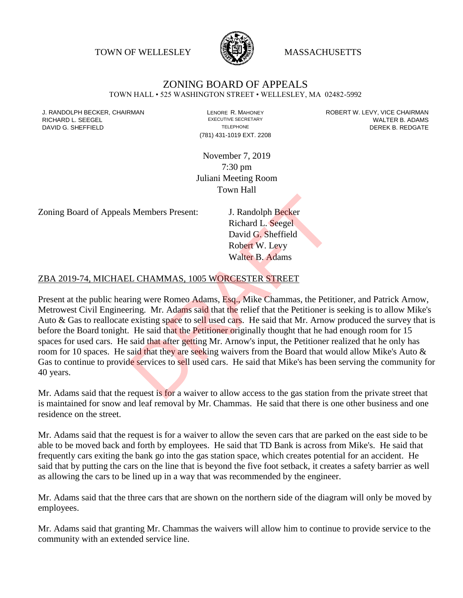TOWN OF WELLESLEY WASSACHUSETTS



# ZONING BOARD OF APPEALS

TOWN HALL • 525 WASHINGTON STREET • WELLESLEY, MA 02482-5992

(781) 431-1019 EXT. 2208

J. RANDOLPH BECKER, CHAIRMAN LAND LENORE R. MAHONEY LENORE RESOLUTIVE SECRETARY LEVY, VICE CHAIRMAN LAND RISPO<br>RICHARD L. SFFGFI LADAMS RICHARD L. SEEGEL **EXECUTIVE SECRETARY CONTROLLY SECRETARY WALTER B. ADAMS** DAVID G. SHEFFIELD **TELEPHONE** TELEPHONE TELEPHONE **TELEPHONE DEREK B. REDGATE** 

> November 7, 2019 7:30 pm Juliani Meeting Room Town Hall

Zoning Board of Appeals Members Present: J. Randolph Becker

Richard L. Seegel David G. Sheffield Robert W. Levy Walter B. Adams

#### ZBA 2019-74, MICHAEL CHAMMAS, 1005 WORCESTER STREET

Present at the public hearing were Romeo Adams, Esq., Mike Chammas, the Petitioner, and Patrick Arnow, Metrowest Civil Engineering. Mr. Adams said that the relief that the Petitioner is seeking is to allow Mike's Auto  $\&$  Gas to reallocate existing space to sell used cars. He said that Mr. Arnow produced the survey that is before the Board tonight. He said that the Petitioner originally thought that he had enough room for 15 spaces for used cars. He said that after getting Mr. Arnow's input, the Petitioner realized that he only has room for 10 spaces. He said that they are seeking waivers from the Board that would allow Mike's Auto & Gas to continue to provide services to sell used cars. He said that Mike's has been serving the community for 40 years. S Members Present:<br>
J. Randolph Becker<br>
Richard L. Seegel<br>
David G. Sheffield<br>
Robert W. Levy<br>
Walter B. Adams<br>
L. CHAMMAS, 1005 WORCESTER STREET<br>
ring were Romeo Adams, Esq., Mike Chammas, the Petit<br>
ring. Mr. Adams said

Mr. Adams said that the request is for a waiver to allow access to the gas station from the private street that is maintained for snow and leaf removal by Mr. Chammas. He said that there is one other business and one residence on the street.

Mr. Adams said that the request is for a waiver to allow the seven cars that are parked on the east side to be able to be moved back and forth by employees. He said that TD Bank is across from Mike's. He said that frequently cars exiting the bank go into the gas station space, which creates potential for an accident. He said that by putting the cars on the line that is beyond the five foot setback, it creates a safety barrier as well as allowing the cars to be lined up in a way that was recommended by the engineer.

Mr. Adams said that the three cars that are shown on the northern side of the diagram will only be moved by employees.

Mr. Adams said that granting Mr. Chammas the waivers will allow him to continue to provide service to the community with an extended service line.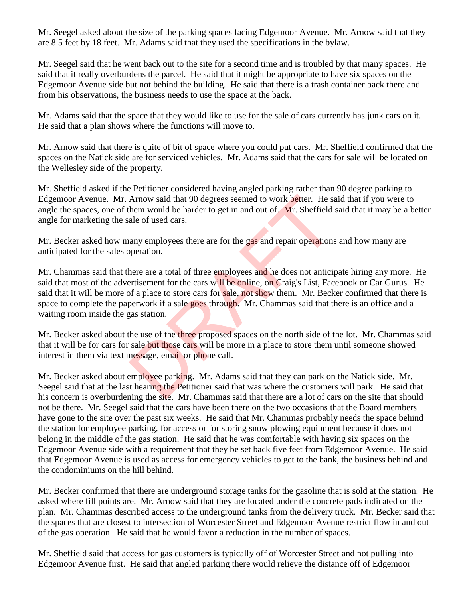Mr. Seegel asked about the size of the parking spaces facing Edgemoor Avenue. Mr. Arnow said that they are 8.5 feet by 18 feet. Mr. Adams said that they used the specifications in the bylaw.

Mr. Seegel said that he went back out to the site for a second time and is troubled by that many spaces. He said that it really overburdens the parcel. He said that it might be appropriate to have six spaces on the Edgemoor Avenue side but not behind the building. He said that there is a trash container back there and from his observations, the business needs to use the space at the back.

Mr. Adams said that the space that they would like to use for the sale of cars currently has junk cars on it. He said that a plan shows where the functions will move to.

Mr. Arnow said that there is quite of bit of space where you could put cars. Mr. Sheffield confirmed that the spaces on the Natick side are for serviced vehicles. Mr. Adams said that the cars for sale will be located on the Wellesley side of the property.

Mr. Sheffield asked if the Petitioner considered having angled parking rather than 90 degree parking to Edgemoor Avenue. Mr. Arnow said that 90 degrees seemed to work better. He said that if you were to angle the spaces, one of them would be harder to get in and out of. Mr. Sheffield said that it may be a better angle for marketing the sale of used cars.

Mr. Becker asked how many employees there are for the gas and repair operations and how many are anticipated for the sales operation.

Mr. Chammas said that there are a total of three employees and he does not anticipate hiring any more. He said that most of the advertisement for the cars will be online, on Craig's List, Facebook or Car Gurus. He said that it will be more of a place to store cars for sale, not show them. Mr. Becker confirmed that there is space to complete the paperwork if a sale goes through. Mr. Chammas said that there is an office and a waiting room inside the gas station. Arnow said that 90 degrees seemed to work better. He simmed would be harder to get in and out of. Mr. Sheffield<br>ale of used cars.<br>any employees there are for the gas and repair operations<br>peration.<br>here are a total of thre

Mr. Becker asked about the use of the three proposed spaces on the north side of the lot. Mr. Chammas said that it will be for cars for sale but those cars will be more in a place to store them until someone showed interest in them via text message, email or phone call.

Mr. Becker asked about employee parking. Mr. Adams said that they can park on the Natick side. Mr. Seegel said that at the last hearing the Petitioner said that was where the customers will park. He said that his concern is overburdening the site. Mr. Chammas said that there are a lot of cars on the site that should not be there. Mr. Seegel said that the cars have been there on the two occasions that the Board members have gone to the site over the past six weeks. He said that Mr. Chammas probably needs the space behind the station for employee parking, for access or for storing snow plowing equipment because it does not belong in the middle of the gas station. He said that he was comfortable with having six spaces on the Edgemoor Avenue side with a requirement that they be set back five feet from Edgemoor Avenue. He said that Edgemoor Avenue is used as access for emergency vehicles to get to the bank, the business behind and the condominiums on the hill behind.

Mr. Becker confirmed that there are underground storage tanks for the gasoline that is sold at the station. He asked where fill points are. Mr. Arnow said that they are located under the concrete pads indicated on the plan. Mr. Chammas described access to the underground tanks from the delivery truck. Mr. Becker said that the spaces that are closest to intersection of Worcester Street and Edgemoor Avenue restrict flow in and out of the gas operation. He said that he would favor a reduction in the number of spaces.

Mr. Sheffield said that access for gas customers is typically off of Worcester Street and not pulling into Edgemoor Avenue first. He said that angled parking there would relieve the distance off of Edgemoor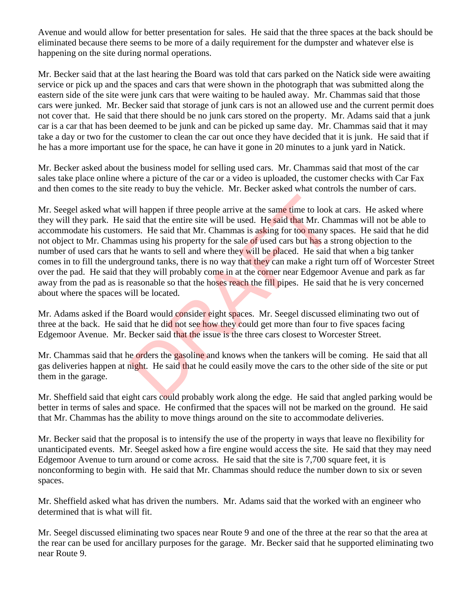Avenue and would allow for better presentation for sales. He said that the three spaces at the back should be eliminated because there seems to be more of a daily requirement for the dumpster and whatever else is happening on the site during normal operations.

Mr. Becker said that at the last hearing the Board was told that cars parked on the Natick side were awaiting service or pick up and the spaces and cars that were shown in the photograph that was submitted along the eastern side of the site were junk cars that were waiting to be hauled away. Mr. Chammas said that those cars were junked. Mr. Becker said that storage of junk cars is not an allowed use and the current permit does not cover that. He said that there should be no junk cars stored on the property. Mr. Adams said that a junk car is a car that has been deemed to be junk and can be picked up same day. Mr. Chammas said that it may take a day or two for the customer to clean the car out once they have decided that it is junk. He said that if he has a more important use for the space, he can have it gone in 20 minutes to a junk yard in Natick.

Mr. Becker asked about the business model for selling used cars. Mr. Chammas said that most of the car sales take place online where a picture of the car or a video is uploaded, the customer checks with Car Fax and then comes to the site ready to buy the vehicle. Mr. Becker asked what controls the number of cars.

Mr. Seegel asked what will happen if three people arrive at the same time to look at cars. He asked where they will they park. He said that the entire site will be used. He said that Mr. Chammas will not be able to accommodate his customers. He said that Mr. Chammas is asking for too many spaces. He said that he did not object to Mr. Chammas using his property for the sale of used cars but has a strong objection to the number of used cars that he wants to sell and where they will be placed. He said that when a big tanker comes in to fill the underground tanks, there is no way that they can make a right turn off of Worcester Street over the pad. He said that they will probably come in at the corner near Edgemoor Avenue and park as far away from the pad as is reasonable so that the hoses reach the fill pipes. He said that he is very concerned about where the spaces will be located. ill happen if three people arrive at the same time to look<br>aid that the entire site will be used. He said that Mr. Cha<br>ers. He said that Mr. Chammas is asking for too many sy<br>as using his property for the sale of used cars

Mr. Adams asked if the Board would consider eight spaces. Mr. Seegel discussed eliminating two out of three at the back. He said that he did not see how they could get more than four to five spaces facing Edgemoor Avenue. Mr. Becker said that the issue is the three cars closest to Worcester Street.

Mr. Chammas said that he orders the gasoline and knows when the tankers will be coming. He said that all gas deliveries happen at night. He said that he could easily move the cars to the other side of the site or put them in the garage.

Mr. Sheffield said that eight cars could probably work along the edge. He said that angled parking would be better in terms of sales and space. He confirmed that the spaces will not be marked on the ground. He said that Mr. Chammas has the ability to move things around on the site to accommodate deliveries.

Mr. Becker said that the proposal is to intensify the use of the property in ways that leave no flexibility for unanticipated events. Mr. Seegel asked how a fire engine would access the site. He said that they may need Edgemoor Avenue to turn around or come across. He said that the site is 7,700 square feet, it is nonconforming to begin with. He said that Mr. Chammas should reduce the number down to six or seven spaces.

Mr. Sheffield asked what has driven the numbers. Mr. Adams said that the worked with an engineer who determined that is what will fit.

Mr. Seegel discussed eliminating two spaces near Route 9 and one of the three at the rear so that the area at the rear can be used for ancillary purposes for the garage. Mr. Becker said that he supported eliminating two near Route 9.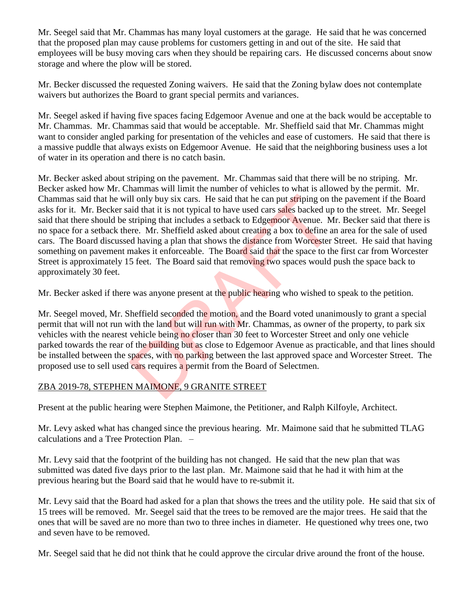Mr. Seegel said that Mr. Chammas has many loyal customers at the garage. He said that he was concerned that the proposed plan may cause problems for customers getting in and out of the site. He said that employees will be busy moving cars when they should be repairing cars. He discussed concerns about snow storage and where the plow will be stored.

Mr. Becker discussed the requested Zoning waivers. He said that the Zoning bylaw does not contemplate waivers but authorizes the Board to grant special permits and variances.

Mr. Seegel asked if having five spaces facing Edgemoor Avenue and one at the back would be acceptable to Mr. Chammas. Mr. Chammas said that would be acceptable. Mr. Sheffield said that Mr. Chammas might want to consider angled parking for presentation of the vehicles and ease of customers. He said that there is a massive puddle that always exists on Edgemoor Avenue. He said that the neighboring business uses a lot of water in its operation and there is no catch basin.

Mr. Becker asked about striping on the pavement. Mr. Chammas said that there will be no striping. Mr. Becker asked how Mr. Chammas will limit the number of vehicles to what is allowed by the permit. Mr. Chammas said that he will only buy six cars. He said that he can put striping on the pavement if the Board asks for it. Mr. Becker said that it is not typical to have used cars sales backed up to the street. Mr. Seegel said that there should be striping that includes a setback to Edgemoor Avenue. Mr. Becker said that there is no space for a setback there. Mr. Sheffield asked about creating a box to define an area for the sale of used cars. The Board discussed having a plan that shows the distance from Worcester Street. He said that having something on pavement makes it enforceable. The Board said that the space to the first car from Worcester Street is approximately 15 feet. The Board said that removing two spaces would push the space back to approximately 30 feet. Il only buy six cars. He said that he can put striping on the said that it is not typical to have used cars sales backed up striping that includes a setback to Edgemoor Avenue. Mere. Mr. Sheffield asked about creating a bo

Mr. Becker asked if there was anyone present at the public hearing who wished to speak to the petition.

Mr. Seegel moved, Mr. Sheffield seconded the motion, and the Board voted unanimously to grant a special permit that will not run with the land but will run with Mr. Chammas, as owner of the property, to park six vehicles with the nearest vehicle being no closer than 30 feet to Worcester Street and only one vehicle parked towards the rear of the building but as close to Edgemoor Avenue as practicable, and that lines should be installed between the spaces, with no parking between the last approved space and Worcester Street. The proposed use to sell used cars requires a permit from the Board of Selectmen.

# ZBA 2019-78, STEPHEN MAIMONE, 9 GRANITE STREET

Present at the public hearing were Stephen Maimone, the Petitioner, and Ralph Kilfoyle, Architect.

Mr. Levy asked what has changed since the previous hearing. Mr. Maimone said that he submitted TLAG calculations and a Tree Protection Plan. –

Mr. Levy said that the footprint of the building has not changed. He said that the new plan that was submitted was dated five days prior to the last plan. Mr. Maimone said that he had it with him at the previous hearing but the Board said that he would have to re-submit it.

Mr. Levy said that the Board had asked for a plan that shows the trees and the utility pole. He said that six of 15 trees will be removed. Mr. Seegel said that the trees to be removed are the major trees. He said that the ones that will be saved are no more than two to three inches in diameter. He questioned why trees one, two and seven have to be removed.

Mr. Seegel said that he did not think that he could approve the circular drive around the front of the house.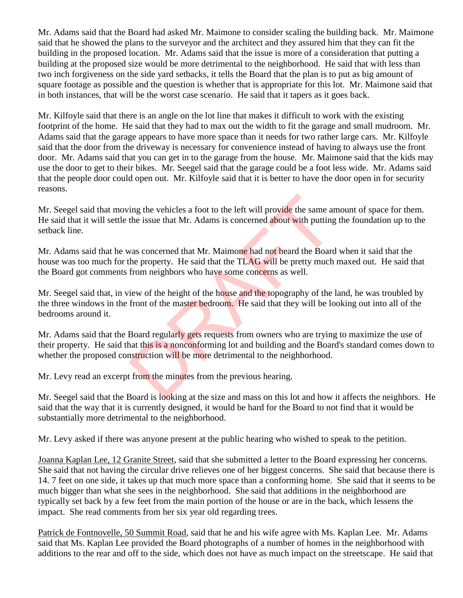Mr. Adams said that the Board had asked Mr. Maimone to consider scaling the building back. Mr. Maimone said that he showed the plans to the surveyor and the architect and they assured him that they can fit the building in the proposed location. Mr. Adams said that the issue is more of a consideration that putting a building at the proposed size would be more detrimental to the neighborhood. He said that with less than two inch forgiveness on the side yard setbacks, it tells the Board that the plan is to put as big amount of square footage as possible and the question is whether that is appropriate for this lot. Mr. Maimone said that in both instances, that will be the worst case scenario. He said that it tapers as it goes back.

Mr. Kilfoyle said that there is an angle on the lot line that makes it difficult to work with the existing footprint of the home. He said that they had to max out the width to fit the garage and small mudroom. Mr. Adams said that the garage appears to have more space than it needs for two rather large cars. Mr. Kilfoyle said that the door from the driveway is necessary for convenience instead of having to always use the front door. Mr. Adams said that you can get in to the garage from the house. Mr. Maimone said that the kids may use the door to get to their bikes. Mr. Seegel said that the garage could be a foot less wide. Mr. Adams said that the people door could open out. Mr. Kilfoyle said that it is better to have the door open in for security reasons.

Mr. Seegel said that moving the vehicles a foot to the left will provide the same amount of space for them. He said that it will settle the issue that Mr. Adams is concerned about with putting the foundation up to the setback line.

Mr. Adams said that he was concerned that Mr. Maimone had not heard the Board when it said that the house was too much for the property. He said that the TLAG will be pretty much maxed out. He said that the Board got comments from neighbors who have some concerns as well. ing the vehicles a foot to the left will provide the same an<br>the issue that Mr. Adams is concerned about with putting<br>was concerned that Mr. Maimone had not heard the Boarc<br>he property. He said that the TLAG will be pretty

Mr. Seegel said that, in view of the height of the house and the topography of the land, he was troubled by the three windows in the front of the master bedroom. He said that they will be looking out into all of the bedrooms around it.

Mr. Adams said that the Board regularly gets requests from owners who are trying to maximize the use of their property. He said that this is a nonconforming lot and building and the Board's standard comes down to whether the proposed construction will be more detrimental to the neighborhood.

Mr. Levy read an excerpt from the minutes from the previous hearing.

Mr. Seegel said that the Board is looking at the size and mass on this lot and how it affects the neighbors. He said that the way that it is currently designed, it would be hard for the Board to not find that it would be substantially more detrimental to the neighborhood.

Mr. Levy asked if there was anyone present at the public hearing who wished to speak to the petition.

Joanna Kaplan Lee, 12 Granite Street, said that she submitted a letter to the Board expressing her concerns. She said that not having the circular drive relieves one of her biggest concerns. She said that because there is 14. 7 feet on one side, it takes up that much more space than a conforming home. She said that it seems to be much bigger than what she sees in the neighborhood. She said that additions in the neighborhood are typically set back by a few feet from the main portion of the house or are in the back, which lessens the impact. She read comments from her six year old regarding trees.

Patrick de Fontnovelle, 50 Summit Road, said that he and his wife agree with Ms. Kaplan Lee. Mr. Adams said that Ms. Kaplan Lee provided the Board photographs of a number of homes in the neighborhood with additions to the rear and off to the side, which does not have as much impact on the streetscape. He said that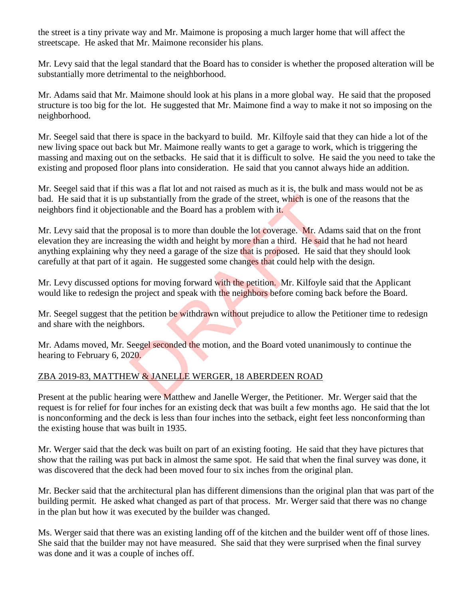the street is a tiny private way and Mr. Maimone is proposing a much larger home that will affect the streetscape. He asked that Mr. Maimone reconsider his plans.

Mr. Levy said that the legal standard that the Board has to consider is whether the proposed alteration will be substantially more detrimental to the neighborhood.

Mr. Adams said that Mr. Maimone should look at his plans in a more global way. He said that the proposed structure is too big for the lot. He suggested that Mr. Maimone find a way to make it not so imposing on the neighborhood.

Mr. Seegel said that there is space in the backyard to build. Mr. Kilfoyle said that they can hide a lot of the new living space out back but Mr. Maimone really wants to get a garage to work, which is triggering the massing and maxing out on the setbacks. He said that it is difficult to solve. He said the you need to take the existing and proposed floor plans into consideration. He said that you cannot always hide an addition.

Mr. Seegel said that if this was a flat lot and not raised as much as it is, the bulk and mass would not be as bad. He said that it is up substantially from the grade of the street, which is one of the reasons that the neighbors find it objectionable and the Board has a problem with it.

Mr. Levy said that the proposal is to more than double the lot coverage. Mr. Adams said that on the front elevation they are increasing the width and height by more than a third. He said that he had not heard anything explaining why they need a garage of the size that is proposed. He said that they should look carefully at that part of it again. He suggested some changes that could help with the design. substantially from the grade of the street, which is one of mable and the Board has a problem with it.<br>
oposal is to more than double the lot coverage. Mr. Adai<br>
sing the width and height by more than a third. He said they

Mr. Levy discussed options for moving forward with the petition. Mr. Kilfoyle said that the Applicant would like to redesign the project and speak with the neighbors before coming back before the Board.

Mr. Seegel suggest that the petition be withdrawn without prejudice to allow the Petitioner time to redesign and share with the neighbors.

Mr. Adams moved, Mr. Seegel seconded the motion, and the Board voted unanimously to continue the hearing to February 6, 2020.

# ZBA 2019-83, MATTHEW & JANELLE WERGER, 18 ABERDEEN ROAD

Present at the public hearing were Matthew and Janelle Werger, the Petitioner. Mr. Werger said that the request is for relief for four inches for an existing deck that was built a few months ago. He said that the lot is nonconforming and the deck is less than four inches into the setback, eight feet less nonconforming than the existing house that was built in 1935.

Mr. Werger said that the deck was built on part of an existing footing. He said that they have pictures that show that the railing was put back in almost the same spot. He said that when the final survey was done, it was discovered that the deck had been moved four to six inches from the original plan.

Mr. Becker said that the architectural plan has different dimensions than the original plan that was part of the building permit. He asked what changed as part of that process. Mr. Werger said that there was no change in the plan but how it was executed by the builder was changed.

Ms. Werger said that there was an existing landing off of the kitchen and the builder went off of those lines. She said that the builder may not have measured. She said that they were surprised when the final survey was done and it was a couple of inches off.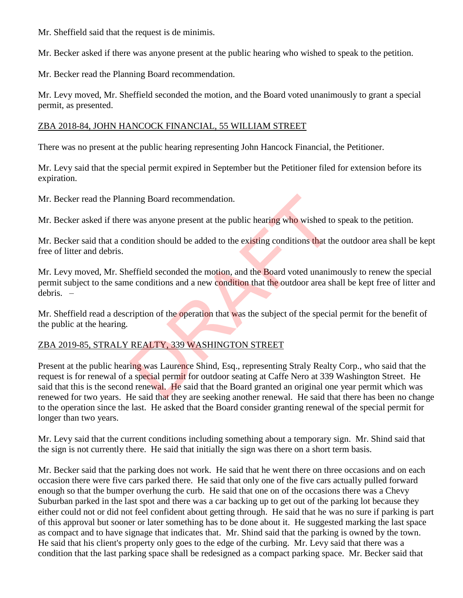Mr. Sheffield said that the request is de minimis.

Mr. Becker asked if there was anyone present at the public hearing who wished to speak to the petition.

Mr. Becker read the Planning Board recommendation.

Mr. Levy moved, Mr. Sheffield seconded the motion, and the Board voted unanimously to grant a special permit, as presented.

#### ZBA 2018-84, JOHN HANCOCK FINANCIAL, 55 WILLIAM STREET

There was no present at the public hearing representing John Hancock Financial, the Petitioner.

Mr. Levy said that the special permit expired in September but the Petitioner filed for extension before its expiration.

Mr. Becker read the Planning Board recommendation.

Mr. Becker asked if there was anyone present at the public hearing who wished to speak to the petition.

Mr. Becker said that a condition should be added to the existing conditions that the outdoor area shall be kept free of litter and debris.

Mr. Levy moved, Mr. Sheffield seconded the motion, and the Board voted unanimously to renew the special permit subject to the same conditions and a new condition that the outdoor area shall be kept free of litter and debris. –

Mr. Sheffield read a description of the operation that was the subject of the special permit for the benefit of the public at the hearing.

# ZBA 2019-85, STRALY REALTY, 339 WASHINGTON STREET

Present at the public hearing was Laurence Shind, Esq., representing Straly Realty Corp., who said that the request is for renewal of a special permit for outdoor seating at Caffe Nero at 339 Washington Street. He said that this is the second renewal. He said that the Board granted an original one year permit which was renewed for two years. He said that they are seeking another renewal. He said that there has been no change to the operation since the last. He asked that the Board consider granting renewal of the special permit for longer than two years. ning Board recommendation.<br>
e was anyone present at the public hearing who wished to<br>
ndition should be added to the existing conditions that the<br>
effield seconded the motion, and the Board voted unanin<br>
e conditions and a

Mr. Levy said that the current conditions including something about a temporary sign. Mr. Shind said that the sign is not currently there. He said that initially the sign was there on a short term basis.

Mr. Becker said that the parking does not work. He said that he went there on three occasions and on each occasion there were five cars parked there. He said that only one of the five cars actually pulled forward enough so that the bumper overhung the curb. He said that one on of the occasions there was a Chevy Suburban parked in the last spot and there was a car backing up to get out of the parking lot because they either could not or did not feel confident about getting through. He said that he was no sure if parking is part of this approval but sooner or later something has to be done about it. He suggested marking the last space as compact and to have signage that indicates that. Mr. Shind said that the parking is owned by the town. He said that his client's property only goes to the edge of the curbing. Mr. Levy said that there was a condition that the last parking space shall be redesigned as a compact parking space. Mr. Becker said that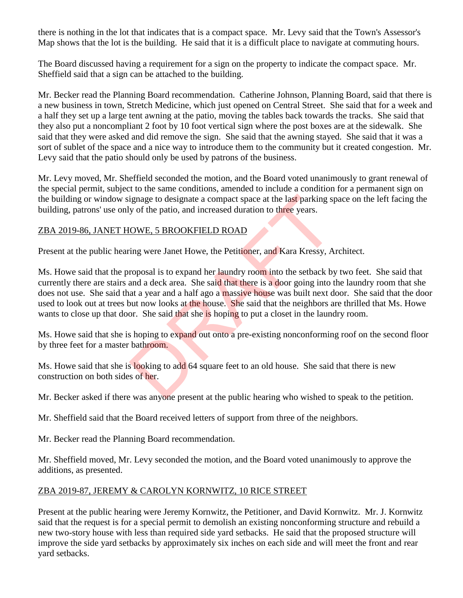there is nothing in the lot that indicates that is a compact space. Mr. Levy said that the Town's Assessor's Map shows that the lot is the building. He said that it is a difficult place to navigate at commuting hours.

The Board discussed having a requirement for a sign on the property to indicate the compact space. Mr. Sheffield said that a sign can be attached to the building.

Mr. Becker read the Planning Board recommendation. Catherine Johnson, Planning Board, said that there is a new business in town, Stretch Medicine, which just opened on Central Street. She said that for a week and a half they set up a large tent awning at the patio, moving the tables back towards the tracks. She said that they also put a noncompliant 2 foot by 10 foot vertical sign where the post boxes are at the sidewalk. She said that they were asked and did remove the sign. She said that the awning stayed. She said that it was a sort of sublet of the space and a nice way to introduce them to the community but it created congestion. Mr. Levy said that the patio should only be used by patrons of the business.

Mr. Levy moved, Mr. Sheffield seconded the motion, and the Board voted unanimously to grant renewal of the special permit, subject to the same conditions, amended to include a condition for a permanent sign on the building or window signage to designate a compact space at the last parking space on the left facing the building, patrons' use only of the patio, and increased duration to three years.

#### ZBA 2019-86, JANET HOWE, 5 BROOKFIELD ROAD

Present at the public hearing were Janet Howe, the Petitioner, and Kara Kressy, Architect.

Ms. Howe said that the proposal is to expand her laundry room into the setback by two feet. She said that currently there are stairs and a deck area. She said that there is a door going into the laundry room that she does not use. She said that a year and a half ago a massive house was built next door. She said that the door used to look out at trees but now looks at the house. She said that the neighbors are thrilled that Ms. Howe wants to close up that door. She said that she is hoping to put a closet in the laundry room. ignage to designate a compact space at the last parking sp<br>y of the patio, and increased duration to three years.<br>COWE, 5 BROOKFIELD ROAD<br>ing were Janet Howe, the Petitioner, and Kara Kressy, A<br>roposal is to expand her lau

Ms. Howe said that she is hoping to expand out onto a pre-existing nonconforming roof on the second floor by three feet for a master bathroom.

Ms. Howe said that she is looking to add 64 square feet to an old house. She said that there is new construction on both sides of her.

Mr. Becker asked if there was anyone present at the public hearing who wished to speak to the petition.

Mr. Sheffield said that the Board received letters of support from three of the neighbors.

Mr. Becker read the Planning Board recommendation.

Mr. Sheffield moved, Mr. Levy seconded the motion, and the Board voted unanimously to approve the additions, as presented.

# ZBA 2019-87, JEREMY & CAROLYN KORNWITZ, 10 RICE STREET

Present at the public hearing were Jeremy Kornwitz, the Petitioner, and David Kornwitz. Mr. J. Kornwitz said that the request is for a special permit to demolish an existing nonconforming structure and rebuild a new two-story house with less than required side yard setbacks. He said that the proposed structure will improve the side yard setbacks by approximately six inches on each side and will meet the front and rear yard setbacks.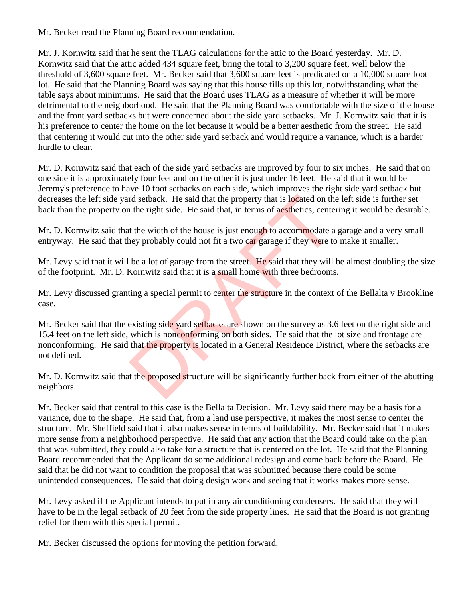Mr. Becker read the Planning Board recommendation.

Mr. J. Kornwitz said that he sent the TLAG calculations for the attic to the Board yesterday. Mr. D. Kornwitz said that the attic added 434 square feet, bring the total to 3,200 square feet, well below the threshold of 3,600 square feet. Mr. Becker said that 3,600 square feet is predicated on a 10,000 square foot lot. He said that the Planning Board was saying that this house fills up this lot, notwithstanding what the table says about minimums. He said that the Board uses TLAG as a measure of whether it will be more detrimental to the neighborhood. He said that the Planning Board was comfortable with the size of the house and the front yard setbacks but were concerned about the side yard setbacks. Mr. J. Kornwitz said that it is his preference to center the home on the lot because it would be a better aesthetic from the street. He said that centering it would cut into the other side yard setback and would require a variance, which is a harder hurdle to clear.

Mr. D. Kornwitz said that each of the side yard setbacks are improved by four to six inches. He said that on one side it is approximately four feet and on the other it is just under 16 feet. He said that it would be Jeremy's preference to have 10 foot setbacks on each side, which improves the right side yard setback but decreases the left side yard setback. He said that the property that is located on the left side is further set back than the property on the right side. He said that, in terms of aesthetics, centering it would be desirable.

Mr. D. Kornwitz said that the width of the house is just enough to accommodate a garage and a very small entryway. He said that they probably could not fit a two car garage if they were to make it smaller.

Mr. Levy said that it will be a lot of garage from the street. He said that they will be almost doubling the size of the footprint. Mr. D. Kornwitz said that it is a small home with three bedrooms.

Mr. Levy discussed granting a special permit to center the structure in the context of the Bellalta v Brookline case.

Mr. Becker said that the existing side yard setbacks are shown on the survey as 3.6 feet on the right side and 15.4 feet on the left side, which is nonconforming on both sides. He said that the lot size and frontage are nonconforming. He said that the property is located in a General Residence District, where the setbacks are not defined. rd setback. He said that the property that is located on the right side. He said that, in terms of aesthetics, center the width of the house is just enough to accommodate a hey probably could not fit a two car garage if th

Mr. D. Kornwitz said that the proposed structure will be significantly further back from either of the abutting neighbors.

Mr. Becker said that central to this case is the Bellalta Decision. Mr. Levy said there may be a basis for a variance, due to the shape. He said that, from a land use perspective, it makes the most sense to center the structure. Mr. Sheffield said that it also makes sense in terms of buildability. Mr. Becker said that it makes more sense from a neighborhood perspective. He said that any action that the Board could take on the plan that was submitted, they could also take for a structure that is centered on the lot. He said that the Planning Board recommended that the Applicant do some additional redesign and come back before the Board. He said that he did not want to condition the proposal that was submitted because there could be some unintended consequences. He said that doing design work and seeing that it works makes more sense.

Mr. Levy asked if the Applicant intends to put in any air conditioning condensers. He said that they will have to be in the legal setback of 20 feet from the side property lines. He said that the Board is not granting relief for them with this special permit.

Mr. Becker discussed the options for moving the petition forward.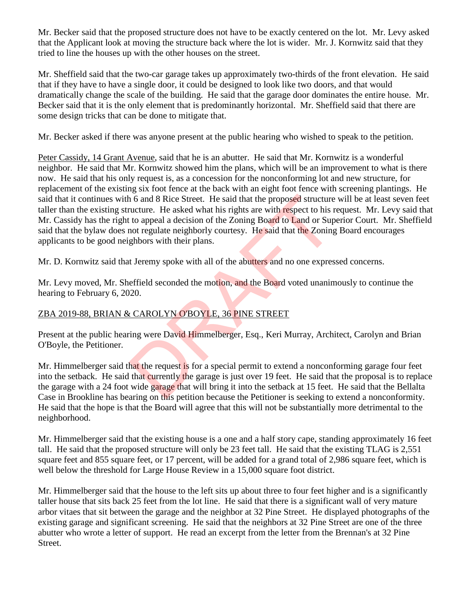Mr. Becker said that the proposed structure does not have to be exactly centered on the lot. Mr. Levy asked that the Applicant look at moving the structure back where the lot is wider. Mr. J. Kornwitz said that they tried to line the houses up with the other houses on the street.

Mr. Sheffield said that the two-car garage takes up approximately two-thirds of the front elevation. He said that if they have to have a single door, it could be designed to look like two doors, and that would dramatically change the scale of the building. He said that the garage door dominates the entire house. Mr. Becker said that it is the only element that is predominantly horizontal. Mr. Sheffield said that there are some design tricks that can be done to mitigate that.

Mr. Becker asked if there was anyone present at the public hearing who wished to speak to the petition.

Peter Cassidy, 14 Grant Avenue, said that he is an abutter. He said that Mr. Kornwitz is a wonderful neighbor. He said that Mr. Kornwitz showed him the plans, which will be an improvement to what is there now. He said that his only request is, as a concession for the nonconforming lot and new structure, for replacement of the existing six foot fence at the back with an eight foot fence with screening plantings. He said that it continues with 6 and 8 Rice Street. He said that the proposed structure will be at least seven feet taller than the existing structure. He asked what his rights are with respect to his request. Mr. Levy said that Mr. Cassidy has the right to appeal a decision of the Zoning Board to Land or Superior Court. Mr. Sheffield said that the bylaw does not regulate neighborly courtesy. He said that the Zoning Board encourages applicants to be good neighbors with their plans. 16 and 8 Rice Street. He said that the proposed structure<br>
16 and 8 Rice Street. He said that the proposed structure<br>
16 appeal a decision of the Zoning Board to Land or Sup<br>
16 appeal a decision of the Zoning Board to Lan

Mr. D. Kornwitz said that Jeremy spoke with all of the abutters and no one expressed concerns.

Mr. Levy moved, Mr. Sheffield seconded the motion, and the Board voted unanimously to continue the hearing to February 6, 2020.

# ZBA 2019-88, BRIAN & CAROLYN O'BOYLE, 36 PINE STREET

Present at the public hearing were David Himmelberger, Esq., Keri Murray, Architect, Carolyn and Brian O'Boyle, the Petitioner.

Mr. Himmelberger said that the request is for a special permit to extend a nonconforming garage four feet into the setback. He said that currently the garage is just over 19 feet. He said that the proposal is to replace the garage with a 24 foot wide garage that will bring it into the setback at 15 feet. He said that the Bellalta Case in Brookline has bearing on this petition because the Petitioner is seeking to extend a nonconformity. He said that the hope is that the Board will agree that this will not be substantially more detrimental to the neighborhood.

Mr. Himmelberger said that the existing house is a one and a half story cape, standing approximately 16 feet tall. He said that the proposed structure will only be 23 feet tall. He said that the existing TLAG is 2,551 square feet and 855 square feet, or 17 percent, will be added for a grand total of 2,986 square feet, which is well below the threshold for Large House Review in a 15,000 square foot district.

Mr. Himmelberger said that the house to the left sits up about three to four feet higher and is a significantly taller house that sits back 25 feet from the lot line. He said that there is a significant wall of very mature arbor vitaes that sit between the garage and the neighbor at 32 Pine Street. He displayed photographs of the existing garage and significant screening. He said that the neighbors at 32 Pine Street are one of the three abutter who wrote a letter of support. He read an excerpt from the letter from the Brennan's at 32 Pine Street.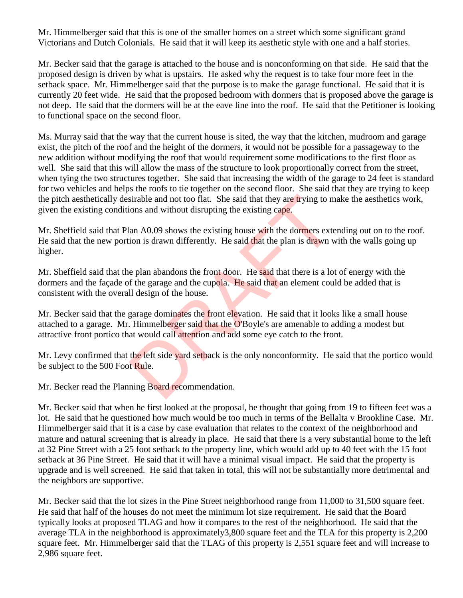Mr. Himmelberger said that this is one of the smaller homes on a street which some significant grand Victorians and Dutch Colonials. He said that it will keep its aesthetic style with one and a half stories.

Mr. Becker said that the garage is attached to the house and is nonconforming on that side. He said that the proposed design is driven by what is upstairs. He asked why the request is to take four more feet in the setback space. Mr. Himmelberger said that the purpose is to make the garage functional. He said that it is currently 20 feet wide. He said that the proposed bedroom with dormers that is proposed above the garage is not deep. He said that the dormers will be at the eave line into the roof. He said that the Petitioner is looking to functional space on the second floor.

Ms. Murray said that the way that the current house is sited, the way that the kitchen, mudroom and garage exist, the pitch of the roof and the height of the dormers, it would not be possible for a passageway to the new addition without modifying the roof that would requirement some modifications to the first floor as well. She said that this will allow the mass of the structure to look proportionally correct from the street, when tying the two structures together. She said that increasing the width of the garage to 24 feet is standard for two vehicles and helps the roofs to tie together on the second floor. She said that they are trying to keep the pitch aesthetically desirable and not too flat. She said that they are trying to make the aesthetics work, given the existing conditions and without disrupting the existing cape.

Mr. Sheffield said that Plan A0.09 shows the existing house with the dormers extending out on to the roof. He said that the new portion is drawn differently. He said that the plan is drawn with the walls going up higher. sirable and not too flat. She said that they are trying to m<br>ions and without disrupting the existing cape.<br>an A0.09 shows the existing house with the dormers exte<br>ion is drawn differently. He said that the plan is drawn v

Mr. Sheffield said that the plan abandons the front door. He said that there is a lot of energy with the dormers and the façade of the garage and the cupola. He said that an element could be added that is consistent with the overall design of the house.

Mr. Becker said that the garage dominates the front elevation. He said that it looks like a small house attached to a garage. Mr. Himmelberger said that the O'Boyle's are amenable to adding a modest but attractive front portico that would call attention and add some eye catch to the front.

Mr. Levy confirmed that the left side yard setback is the only nonconformity. He said that the portico would be subject to the 500 Foot Rule.

Mr. Becker read the Planning Board recommendation.

Mr. Becker said that when he first looked at the proposal, he thought that going from 19 to fifteen feet was a lot. He said that he questioned how much would be too much in terms of the Bellalta v Brookline Case. Mr. Himmelberger said that it is a case by case evaluation that relates to the context of the neighborhood and mature and natural screening that is already in place. He said that there is a very substantial home to the left at 32 Pine Street with a 25 foot setback to the property line, which would add up to 40 feet with the 15 foot setback at 36 Pine Street. He said that it will have a minimal visual impact. He said that the property is upgrade and is well screened. He said that taken in total, this will not be substantially more detrimental and the neighbors are supportive.

Mr. Becker said that the lot sizes in the Pine Street neighborhood range from 11,000 to 31,500 square feet. He said that half of the houses do not meet the minimum lot size requirement. He said that the Board typically looks at proposed TLAG and how it compares to the rest of the neighborhood. He said that the average TLA in the neighborhood is approximately3,800 square feet and the TLA for this property is 2,200 square feet. Mr. Himmelberger said that the TLAG of this property is 2,551 square feet and will increase to 2,986 square feet.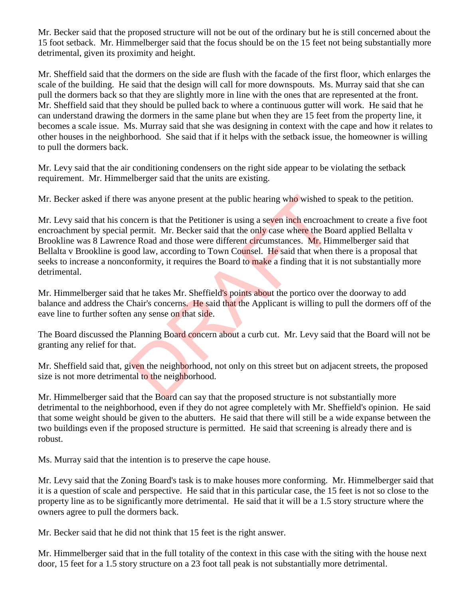Mr. Becker said that the proposed structure will not be out of the ordinary but he is still concerned about the 15 foot setback. Mr. Himmelberger said that the focus should be on the 15 feet not being substantially more detrimental, given its proximity and height.

Mr. Sheffield said that the dormers on the side are flush with the facade of the first floor, which enlarges the scale of the building. He said that the design will call for more downspouts. Ms. Murray said that she can pull the dormers back so that they are slightly more in line with the ones that are represented at the front. Mr. Sheffield said that they should be pulled back to where a continuous gutter will work. He said that he can understand drawing the dormers in the same plane but when they are 15 feet from the property line, it becomes a scale issue. Ms. Murray said that she was designing in context with the cape and how it relates to other houses in the neighborhood. She said that if it helps with the setback issue, the homeowner is willing to pull the dormers back.

Mr. Levy said that the air conditioning condensers on the right side appear to be violating the setback requirement. Mr. Himmelberger said that the units are existing.

Mr. Becker asked if there was anyone present at the public hearing who wished to speak to the petition.

Mr. Levy said that his concern is that the Petitioner is using a seven inch encroachment to create a five foot encroachment by special permit. Mr. Becker said that the only case where the Board applied Bellalta v Brookline was 8 Lawrence Road and those were different circumstances. Mr. Himmelberger said that Bellalta v Brookline is good law, according to Town Counsel. He said that when there is a proposal that seeks to increase a nonconformity, it requires the Board to make a finding that it is not substantially more detrimental. Example present at the public hearing who wished to<br>ncern is that the Petitioner is using a seven inchencroach<br>permit. Mr. Becker said that the only case where the Bo<br>ce Road and those were different circumstances. Mr. Hir

Mr. Himmelberger said that he takes Mr. Sheffield's points about the portico over the doorway to add balance and address the Chair's concerns. He said that the Applicant is willing to pull the dormers off of the eave line to further soften any sense on that side.

The Board discussed the Planning Board concern about a curb cut. Mr. Levy said that the Board will not be granting any relief for that.

Mr. Sheffield said that, given the neighborhood, not only on this street but on adjacent streets, the proposed size is not more detrimental to the neighborhood.

Mr. Himmelberger said that the Board can say that the proposed structure is not substantially more detrimental to the neighborhood, even if they do not agree completely with Mr. Sheffield's opinion. He said that some weight should be given to the abutters. He said that there will still be a wide expanse between the two buildings even if the proposed structure is permitted. He said that screening is already there and is robust.

Ms. Murray said that the intention is to preserve the cape house.

Mr. Levy said that the Zoning Board's task is to make houses more conforming. Mr. Himmelberger said that it is a question of scale and perspective. He said that in this particular case, the 15 feet is not so close to the property line as to be significantly more detrimental. He said that it will be a 1.5 story structure where the owners agree to pull the dormers back.

Mr. Becker said that he did not think that 15 feet is the right answer.

Mr. Himmelberger said that in the full totality of the context in this case with the siting with the house next door, 15 feet for a 1.5 story structure on a 23 foot tall peak is not substantially more detrimental.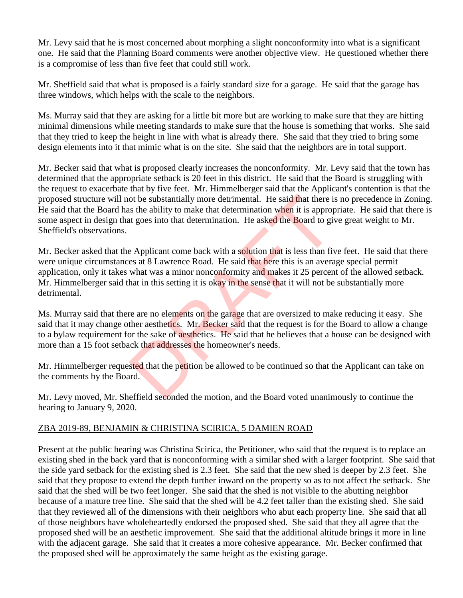Mr. Levy said that he is most concerned about morphing a slight nonconformity into what is a significant one. He said that the Planning Board comments were another objective view. He questioned whether there is a compromise of less than five feet that could still work.

Mr. Sheffield said that what is proposed is a fairly standard size for a garage. He said that the garage has three windows, which helps with the scale to the neighbors.

Ms. Murray said that they are asking for a little bit more but are working to make sure that they are hitting minimal dimensions while meeting standards to make sure that the house is something that works. She said that they tried to keep the height in line with what is already there. She said that they tried to bring some design elements into it that mimic what is on the site. She said that the neighbors are in total support.

Mr. Becker said that what is proposed clearly increases the nonconformity. Mr. Levy said that the town has determined that the appropriate setback is 20 feet in this district. He said that the Board is struggling with the request to exacerbate that by five feet. Mr. Himmelberger said that the Applicant's contention is that the proposed structure will not be substantially more detrimental. He said that there is no precedence in Zoning. He said that the Board has the ability to make that determination when it is appropriate. He said that there is some aspect in design that goes into that determination. He asked the Board to give great weight to Mr. Sheffield's observations.

Mr. Becker asked that the Applicant come back with a solution that is less than five feet. He said that there were unique circumstances at 8 Lawrence Road. He said that here this is an average special permit application, only it takes what was a minor nonconformity and makes it 25 percent of the allowed setback. Mr. Himmelberger said that in this setting it is okay in the sense that it will not be substantially more detrimental. or be substantially more detrimental. He said that there is<br>the ability to make that determination when it is approp<br>to goes into that determination. He asked the Board to give<br>the goes into that determination. He asked th

Ms. Murray said that there are no elements on the garage that are oversized to make reducing it easy. She said that it may change other aesthetics. Mr. Becker said that the request is for the Board to allow a change to a bylaw requirement for the sake of aesthetics. He said that he believes that a house can be designed with more than a 15 foot setback that addresses the homeowner's needs.

Mr. Himmelberger requested that the petition be allowed to be continued so that the Applicant can take on the comments by the Board.

Mr. Levy moved, Mr. Sheffield seconded the motion, and the Board voted unanimously to continue the hearing to January 9, 2020.

#### ZBA 2019-89, BENJAMIN & CHRISTINA SCIRICA, 5 DAMIEN ROAD

Present at the public hearing was Christina Scirica, the Petitioner, who said that the request is to replace an existing shed in the back yard that is nonconforming with a similar shed with a larger footprint. She said that the side yard setback for the existing shed is 2.3 feet. She said that the new shed is deeper by 2.3 feet. She said that they propose to extend the depth further inward on the property so as to not affect the setback. She said that the shed will be two feet longer. She said that the shed is not visible to the abutting neighbor because of a mature tree line. She said that the shed will be 4.2 feet taller than the existing shed. She said that they reviewed all of the dimensions with their neighbors who abut each property line. She said that all of those neighbors have wholeheartedly endorsed the proposed shed. She said that they all agree that the proposed shed will be an aesthetic improvement. She said that the additional altitude brings it more in line with the adjacent garage. She said that it creates a more cohesive appearance. Mr. Becker confirmed that the proposed shed will be approximately the same height as the existing garage.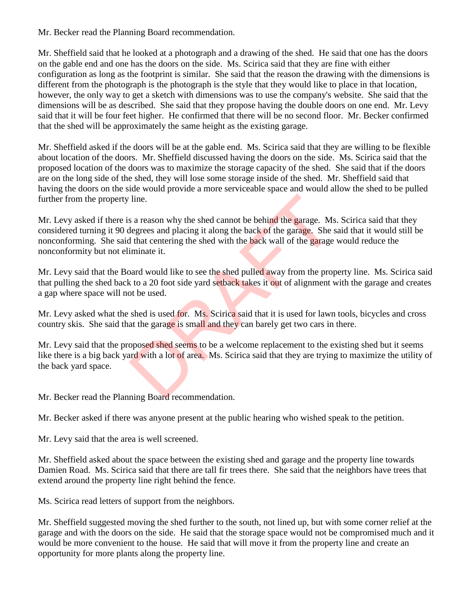Mr. Becker read the Planning Board recommendation.

Mr. Sheffield said that he looked at a photograph and a drawing of the shed. He said that one has the doors on the gable end and one has the doors on the side. Ms. Scirica said that they are fine with either configuration as long as the footprint is similar. She said that the reason the drawing with the dimensions is different from the photograph is the photograph is the style that they would like to place in that location, however, the only way to get a sketch with dimensions was to use the company's website. She said that the dimensions will be as described. She said that they propose having the double doors on one end. Mr. Levy said that it will be four feet higher. He confirmed that there will be no second floor. Mr. Becker confirmed that the shed will be approximately the same height as the existing garage.

Mr. Sheffield asked if the doors will be at the gable end. Ms. Scirica said that they are willing to be flexible about location of the doors. Mr. Sheffield discussed having the doors on the side. Ms. Scirica said that the proposed location of the doors was to maximize the storage capacity of the shed. She said that if the doors are on the long side of the shed, they will lose some storage inside of the shed. Mr. Sheffield said that having the doors on the side would provide a more serviceable space and would allow the shed to be pulled further from the property line.

Mr. Levy asked if there is a reason why the shed cannot be behind the garage. Ms. Scirica said that they considered turning it 90 degrees and placing it along the back of the garage. She said that it would still be nonconforming. She said that centering the shed with the back wall of the garage would reduce the nonconformity but not eliminate it. line.<br>
Solution.<br>
Solutions a reason why the shed cannot be behind the garage. Ms<br>
degrees and placing it along the back of the garage. She is<br>
different that centering the shed with the back wall of the garage<br>
siminate i

Mr. Levy said that the Board would like to see the shed pulled away from the property line. Ms. Scirica said that pulling the shed back to a 20 foot side yard setback takes it out of alignment with the garage and creates a gap where space will not be used.

Mr. Levy asked what the shed is used for. Ms. Scirica said that it is used for lawn tools, bicycles and cross country skis. She said that the garage is small and they can barely get two cars in there.

Mr. Levy said that the proposed shed seems to be a welcome replacement to the existing shed but it seems like there is a big back yard with a lot of area. Ms. Scirica said that they are trying to maximize the utility of the back yard space.

Mr. Becker read the Planning Board recommendation.

Mr. Becker asked if there was anyone present at the public hearing who wished speak to the petition.

Mr. Levy said that the area is well screened.

Mr. Sheffield asked about the space between the existing shed and garage and the property line towards Damien Road. Ms. Scirica said that there are tall fir trees there. She said that the neighbors have trees that extend around the property line right behind the fence.

Ms. Scirica read letters of support from the neighbors.

Mr. Sheffield suggested moving the shed further to the south, not lined up, but with some corner relief at the garage and with the doors on the side. He said that the storage space would not be compromised much and it would be more convenient to the house. He said that will move it from the property line and create an opportunity for more plants along the property line.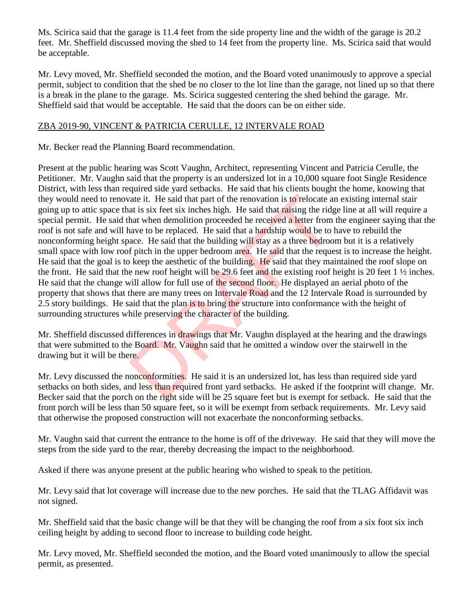Ms. Scirica said that the garage is 11.4 feet from the side property line and the width of the garage is 20.2 feet. Mr. Sheffield discussed moving the shed to 14 feet from the property line. Ms. Scirica said that would be acceptable.

Mr. Levy moved, Mr. Sheffield seconded the motion, and the Board voted unanimously to approve a special permit, subject to condition that the shed be no closer to the lot line than the garage, not lined up so that there is a break in the plane to the garage. Ms. Scirica suggested centering the shed behind the garage. Mr. Sheffield said that would be acceptable. He said that the doors can be on either side.

#### ZBA 2019-90, VINCENT & PATRICIA CERULLE, 12 INTERVALE ROAD

Mr. Becker read the Planning Board recommendation.

Present at the public hearing was Scott Vaughn, Architect, representing Vincent and Patricia Cerulle, the Petitioner. Mr. Vaughn said that the property is an undersized lot in a 10,000 square foot Single Residence District, with less than required side yard setbacks. He said that his clients bought the home, knowing that they would need to renovate it. He said that part of the renovation is to relocate an existing internal stair going up to attic space that is six feet six inches high. He said that raising the ridge line at all will require a special permit. He said that when demolition proceeded he received a letter from the engineer saying that the roof is not safe and will have to be replaced. He said that a hardship would be to have to rebuild the nonconforming height space. He said that the building will stay as a three bedroom but it is a relatively small space with low roof pitch in the upper bedroom area. He said that the request is to increase the height. He said that the goal is to keep the aesthetic of the building. He said that they maintained the roof slope on the front. He said that the new roof height will be 29.6 feet and the existing roof height is 20 feet  $1 \frac{1}{2}$  inches. He said that the change will allow for full use of the second floor. He displayed an aerial photo of the property that shows that there are many trees on Intervale Road and the 12 Intervale Road is surrounded by 2.5 story buildings. He said that the plan is to bring the structure into conformance with the height of surrounding structures while preserving the character of the building. rate it. He said that part of the renovation is to relocate and is six feet six inches high. He said that raising the ridge hat when demolition proceeded he received a letter from anve to be replaced. He said that a hardsh

Mr. Sheffield discussed differences in drawings that Mr. Vaughn displayed at the hearing and the drawings that were submitted to the Board. Mr. Vaughn said that he omitted a window over the stairwell in the drawing but it will be there.

Mr. Levy discussed the nonconformities. He said it is an undersized lot, has less than required side yard setbacks on both sides, and less than required front yard setbacks. He asked if the footprint will change. Mr. Becker said that the porch on the right side will be 25 square feet but is exempt for setback. He said that the front porch will be less than 50 square feet, so it will be exempt from setback requirements. Mr. Levy said that otherwise the proposed construction will not exacerbate the nonconforming setbacks.

Mr. Vaughn said that current the entrance to the home is off of the driveway. He said that they will move the steps from the side yard to the rear, thereby decreasing the impact to the neighborhood.

Asked if there was anyone present at the public hearing who wished to speak to the petition.

Mr. Levy said that lot coverage will increase due to the new porches. He said that the TLAG Affidavit was not signed.

Mr. Sheffield said that the basic change will be that they will be changing the roof from a six foot six inch ceiling height by adding to second floor to increase to building code height.

Mr. Levy moved, Mr. Sheffield seconded the motion, and the Board voted unanimously to allow the special permit, as presented.